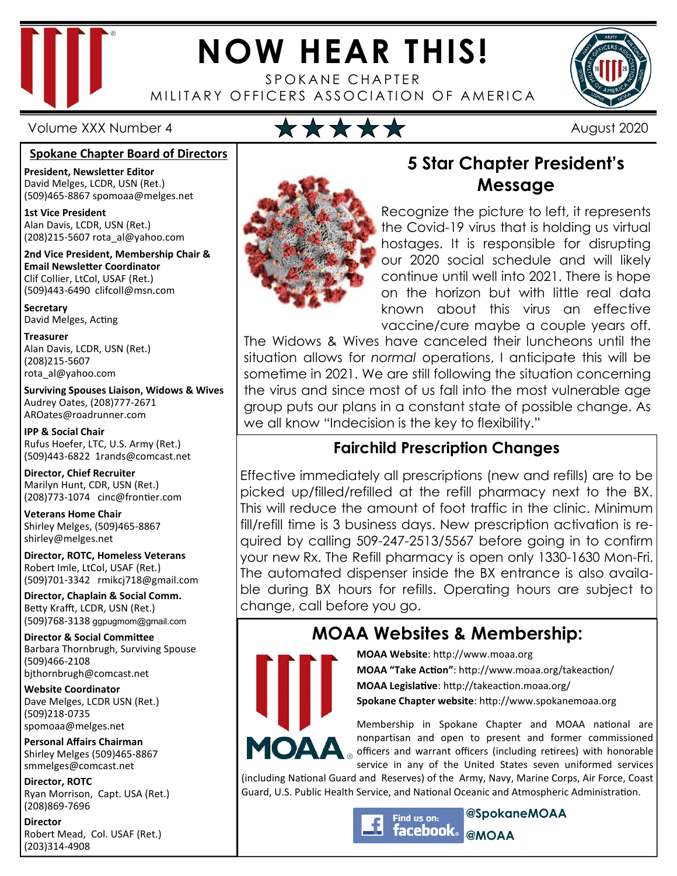

# **NOW HEAR THIS!**

SPOKANE CHAPTER MILITARY OFFICERS ASSOCIATION OF AMERICA



#### **Spokane Chapter Board of Directors**

**President, Newsletter Editor**  David Melges, LCDR, USN (Ret.) (509)465-8867 spomoaa@melges.net

**1st Vice President**  Alan Davis, LCDR, USN (Ret.) (208)215-5607 rota\_al@yahoo.com

**2nd Vice President, Membership Chair & Email Newsletter Coordinator** Clif Collier, LtCol, USAF (Ret.) (509)443-6490 clifcoll@msn.com

**Secretary**  David Melges, Acting

**Treasurer**  Alan Davis, LCDR, USN (Ret.) (208)215-5607 rota\_al@yahoo.com

**Surviving Spouses Liaison, Widows & Wives**  Audrey Oates, (208)777-2671 AROates@roadrunner.com

**IPP & Social Chair**  Rufus Hoefer, LTC, U.S. Army (Ret.) (509)443-6822 1rands@comcast.net

**Director, Chief Recruiter**  Marilyn Hunt, CDR, USN (Ret.) (208)773-1074 cinc@frontier.com

**Veterans Home Chair**  Shirley Melges, (509)465-8867 shirley@melges.net

**Director, ROTC, Homeless Veterans**  Robert Imle, LtCol, USAF (Ret.) (509)701-3342 rmikcj718@gmail.com

**Director, Chaplain & Social Comm.** Betty Krafft, LCDR, USN (Ret.) (509)768-3138 ggpugmom@gmail.com

**Director & Social Committee** Barbara Thornbrugh, Surviving Spouse (509)466-2108 bjthornbrugh@comcast.net

**Website Coordinator**  Dave Melges, LCDR USN (Ret.) (509)218-0735 spomoaa@melges.net

**Personal Affairs Chairman**  Shirley Melges (509)465-8867 smmelges@comcast.net

**Director, ROTC**  Ryan Morrison, Capt. USA (Ret.) (208)869-7696

**Director**  Robert Mead, Col. USAF (Ret.) (203)314-4908



## **5 Star Chapter President's Message**

Recognize the picture to left, it represents the Covid-19 virus that is holding us virtual hostages. It is responsible for disrupting our 2020 social schedule and will likely continue until well into 2021. There is hope on the horizon but with little real data known about this virus an effective vaccine/cure maybe a couple years off.

The Widows & Wives have canceled their luncheons until the situation allows for *normal* operations, I anticipate this will be sometime in 2021. We are still following the situation concerning the virus and since most of us fall into the most vulnerable age group puts our plans in a constant state of possible change. As we all know "Indecision is the key to flexibility."

### **Fairchild Prescription Changes**

Effective immediately all prescriptions (new and refills) are to be picked up/filled/refilled at the refill pharmacy next to the BX. This will reduce the amount of foot traffic in the clinic. Minimum fill/refill time is 3 business days. New prescription activation is required by calling 509-247-2513/5567 before going in to confirm your new Rx. The Refill pharmacy is open only 1330-1630 Mon-Fri. The automated dispenser inside the BX entrance is also available during BX hours for refills. Operating hours are subject to change, call before you go.

## **MOAA Websites & Membership:**



**MOAA Website: http://www.moaa.org MOAA "Take Action"**: http://www.moaa.org/takeaction/ **MOAA Legislative**: http://takeaction.moaa.org/ **Spokane Chapter website**: http://www.spokanemoaa.org

Membership in Spokane Chapter and MOAA national are nonpartisan and open to present and former commissioned **MOAA** officers and warrant officers (including retirees) with honorable service in any of the United States seven uniformed services

(including National Guard and Reserves) of the Army, Navy, Marine Corps, Air Force, Coast Guard, U.S. Public Health Service, and National Oceanic and Atmospheric Administration.

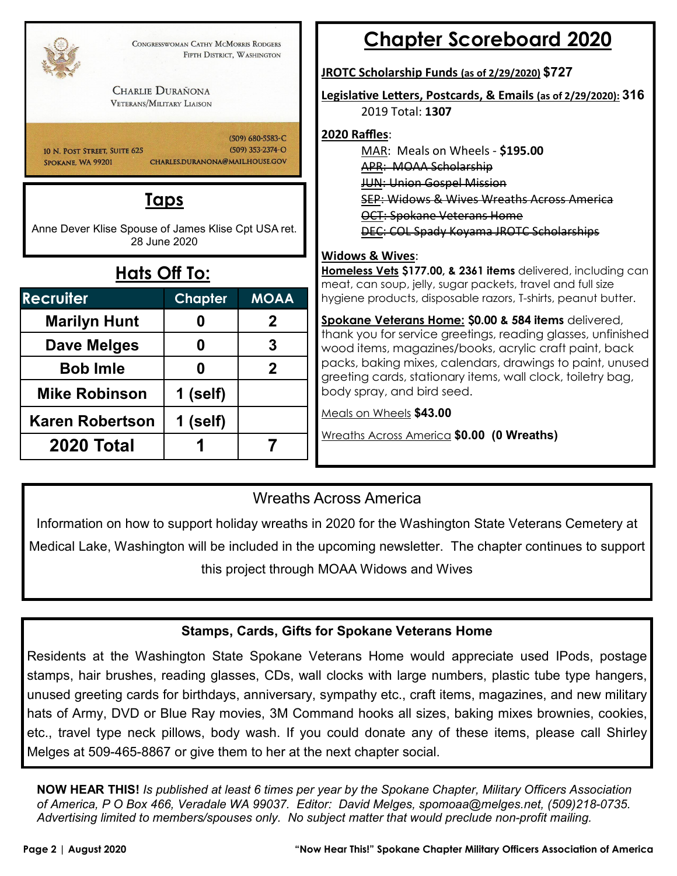| <b>CHARLIE DURAÑONA</b><br><b>VETERANS/MILITARY LIAISON</b>         | CONGRESSWOMAN CATHY MCMORRIS RODGERS<br>FIFTH DISTRICT, WASHINGTON |                                      |
|---------------------------------------------------------------------|--------------------------------------------------------------------|--------------------------------------|
| 10 N. POST STREET. SUITE 625<br>SPOKANE, WA 99201                   | CHARLES.DURANONA@MAIL.HOUSE.GOV                                    | (509) 680-5583-C<br>(509) 353-2374-O |
| Anne Dever Klise Spouse of James Klise Cpt USA ret.<br>Hats Off To: | <u>Taps</u><br>28 June 2020                                        |                                      |
| <b>Recruiter</b>                                                    | <b>Chapter</b>                                                     | <b>MOAA</b>                          |
| <b>Marilyn Hunt</b>                                                 | 0                                                                  | $\mathbf 2$                          |
| <b>Dave Melges</b>                                                  | 0                                                                  | 3                                    |
| <b>Bob Imle</b>                                                     | 0                                                                  | $\overline{2}$                       |
| <b>Mike Robinson</b>                                                | 1 (self)                                                           |                                      |
|                                                                     |                                                                    |                                      |
| <b>Karen Robertson</b>                                              | 1 (self)                                                           |                                      |

## **Chapter Scoreboard 2020**

#### **JROTC Scholarship Funds (as of 2/29/2020) \$727**

**Legisla1ve Le!ers, Postcards, & Emails (as of 2/29/2020): 316** 2019 Total: **1307** 

#### **2020 Raffles**:

MAR: Meals on Wheels - **\$195.00** APR: MOAA Scholarship JUN: Union Gospel Mission SEP: Widows & Wives Wreaths Across OCT: Spokane Veterans Home DEC: COL Spady Koyama JROTC Scholarships

#### **Widows & Wives**:

**Iomeless Vets \$177.00, & 2361 items** delivered, including can meat, can soup, jelly, sugar packets, travel and full size ygiene products, disposable razors, T-shirts, peanut butter.

**Spokane Veterans Home: \$0.00 & 584 items** delivered, hank you for service greetings, reading glasses, unfinished wood items, magazines/books, acrylic craft paint, back packs, baking mixes, calendars, drawings to paint, unused reeting cards, stationary items, wall clock, toiletry bag, body spray, and bird seed.

Meals on Wheels **\$43.00** 

Wreaths Across America **\$0.00 (0 Wreaths)** 

### Wreaths Across America

Information on how to support holiday wreaths in 2020 for the Washington State Veterans Cemetery at Medical Lake, Washington will be included in the upcoming newsletter. The chapter continues to support this project through MOAA Widows and Wives

#### **Stamps, Cards, Gifts for Spokane Veterans Home**

Residents at the Washington State Spokane Veterans Home would appreciate used IPods, postage stamps, hair brushes, reading glasses, CDs, wall clocks with large numbers, plastic tube type hangers, unused greeting cards for birthdays, anniversary, sympathy etc., craft items, magazines, and new military hats of Army, DVD or Blue Ray movies, 3M Command hooks all sizes, baking mixes brownies, cookies, etc., travel type neck pillows, body wash. If you could donate any of these items, please call Shirley Melges at 509-465-8867 or give them to her at the next chapter social.

**NOW HEAR THIS!** *Is published at least 6 times per year by the Spokane Chapter, Military Officers Association of America, P O Box 466, Veradale WA 99037. Editor: David Melges, spomoaa@melges.net, (509)218-0735. Advertising limited to members/spouses only. No subject matter that would preclude non-profit mailing.*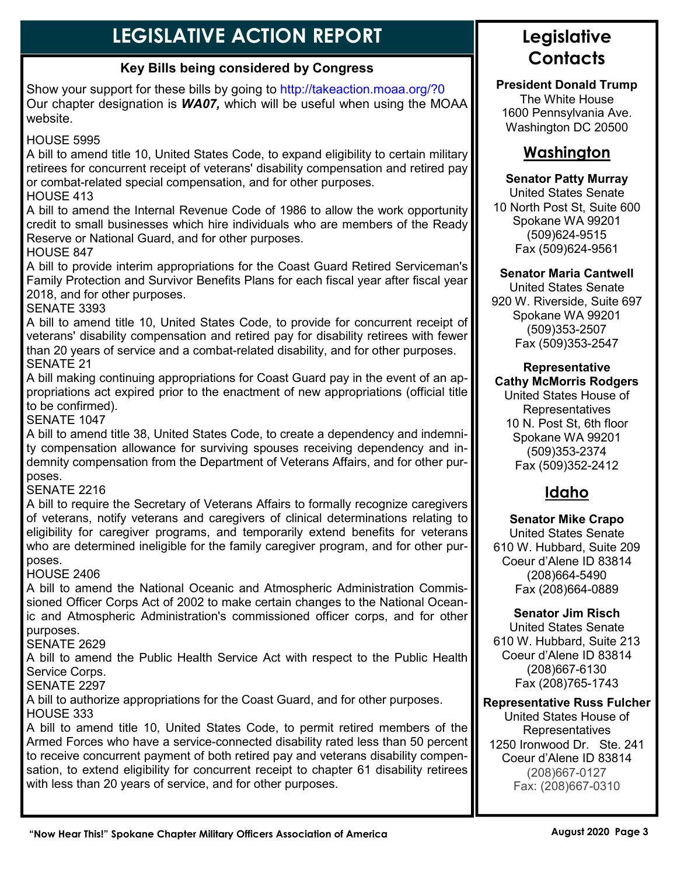## **LEGISLATIVE ACTION REPORT**

#### **Key Bills being considered by Congress**

Show your support for these bills by going to http://takeaction.moaa.org/?0 Our chapter designation is *WA07,* which will be useful when using the MOAA website.

#### HOUSE 5995

A bill to amend title 10, United States Code, to expand eligibility to certain military retirees for concurrent receipt of veterans' disability compensation and retired pay or combat-related special compensation, and for other purposes.

#### HOUSE 413

A bill to amend the Internal Revenue Code of 1986 to allow the work opportunity credit to small businesses which hire individuals who are members of the Ready Reserve or National Guard, and for other purposes.

HOUSE 847

A bill to provide interim appropriations for the Coast Guard Retired Serviceman's Family Protection and Survivor Benefits Plans for each fiscal year after fiscal year 2018, and for other purposes.

SENATE 3393

A bill to amend title 10, United States Code, to provide for concurrent receipt of veterans' disability compensation and retired pay for disability retirees with fewer than 20 years of service and a combat-related disability, and for other purposes. SENATE 21

A bill making continuing appropriations for Coast Guard pay in the event of an appropriations act expired prior to the enactment of new appropriations (official title to be confirmed).

SENATE 1047

A bill to amend title 38, United States Code, to create a dependency and indemnity compensation allowance for surviving spouses receiving dependency and indemnity compensation from the Department of Veterans Affairs, and for other purposes.

#### SENATE 2216

A bill to require the Secretary of Veterans Affairs to formally recognize caregivers of veterans, notify veterans and caregivers of clinical determinations relating to eligibility for caregiver programs, and temporarily extend benefits for veterans who are determined ineligible for the family caregiver program, and for other purposes.

#### HOUSE 2406

A bill to amend the National Oceanic and Atmospheric Administration Commissioned Officer Corps Act of 2002 to make certain changes to the National Oceanic and Atmospheric Administration's commissioned officer corps, and for other purposes.

#### SENATE 2629

A bill to amend the Public Health Service Act with respect to the Public Health Service Corps.

SENATE 2297

A bill to authorize appropriations for the Coast Guard, and for other purposes. HOUSE 333

A bill to amend title 10, United States Code, to permit retired members of the Armed Forces who have a service-connected disability rated less than 50 percent to receive concurrent payment of both retired pay and veterans disability compensation, to extend eligibility for concurrent receipt to chapter 61 disability retirees with less than 20 years of service, and for other purposes.

## **Legislative Contacts**

**President Donald Trump**  The White House 1600 Pennsylvania Ave. Washington DC 20500

## **Washington**

#### **Senator Patty Murray**

United States Senate 10 North Post St, Suite 600 Spokane WA 99201 (509)624-9515 Fax (509)624-9561

#### **Senator Maria Cantwell**

United States Senate 920 W. Riverside, Suite 697 Spokane WA 99201 (509)353-2507 Fax (509)353-2547

#### **Representative Cathy McMorris Rodgers**

United States House of Representatives 10 N. Post St, 6th floor Spokane WA 99201 (509)353-2374 Fax (509)352-2412

## **Idaho**

**Senator Mike Crapo** United States Senate 610 W. Hubbard, Suite 209 Coeur d'Alene ID 83814 (208)664-5490 Fax (208)664-0889

#### **Senator Jim Risch**

United States Senate 610 W. Hubbard, Suite 213 Coeur d'Alene ID 83814 (208)667-6130 Fax (208)765-1743

#### **Representative Russ Fulcher**

United States House of Representatives 1250 Ironwood Dr. Ste. 241 Coeur d'Alene ID 83814 (208)667-0127 Fax: (208)667-0310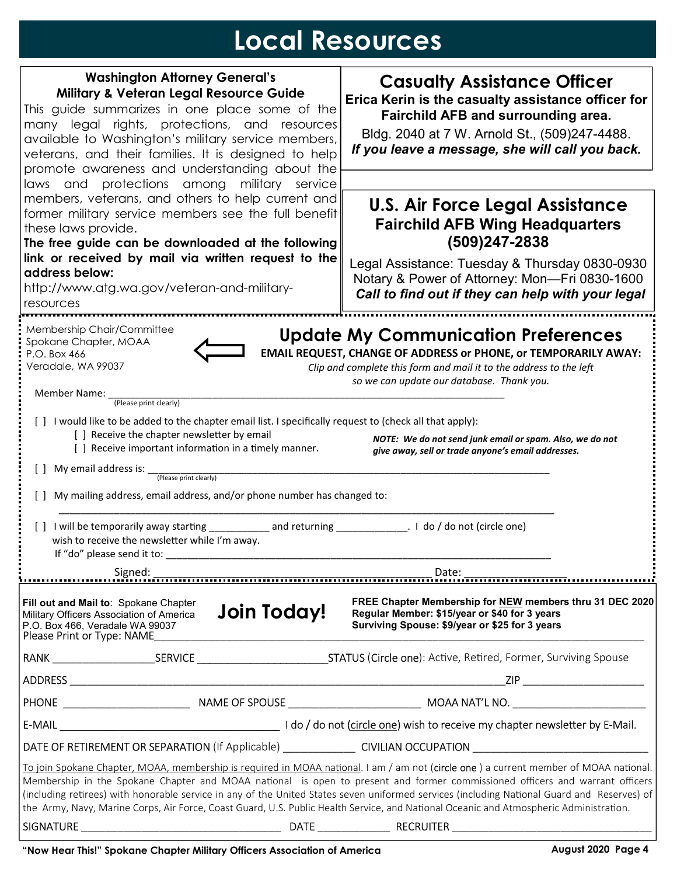## **Local Resources**

| <b>Washington Attorney General's</b>                                                                                                                                                                                                                                                                                                                                                                                  |             | <b>Casualty Assistance Officer</b>                                                                                                                          |  |
|-----------------------------------------------------------------------------------------------------------------------------------------------------------------------------------------------------------------------------------------------------------------------------------------------------------------------------------------------------------------------------------------------------------------------|-------------|-------------------------------------------------------------------------------------------------------------------------------------------------------------|--|
| <b>Military &amp; Veteran Legal Resource Guide</b>                                                                                                                                                                                                                                                                                                                                                                    |             | Erica Kerin is the casualty assistance officer for                                                                                                          |  |
| This guide summarizes in one place some of the                                                                                                                                                                                                                                                                                                                                                                        |             | Fairchild AFB and surrounding area.                                                                                                                         |  |
| many legal rights, protections, and resources<br>available to Washington's military service members,                                                                                                                                                                                                                                                                                                                  |             | Bldg. 2040 at 7 W. Arnold St., (509)247-4488.                                                                                                               |  |
| veterans, and their families. It is designed to help                                                                                                                                                                                                                                                                                                                                                                  |             | If you leave a message, she will call you back.                                                                                                             |  |
| promote awareness and understanding about the                                                                                                                                                                                                                                                                                                                                                                         |             |                                                                                                                                                             |  |
| laws and protections among military service                                                                                                                                                                                                                                                                                                                                                                           |             |                                                                                                                                                             |  |
| members, veterans, and others to help current and                                                                                                                                                                                                                                                                                                                                                                     |             | <b>U.S. Air Force Legal Assistance</b>                                                                                                                      |  |
| former military service members see the full benefit<br>these laws provide.                                                                                                                                                                                                                                                                                                                                           |             | <b>Fairchild AFB Wing Headquarters</b>                                                                                                                      |  |
| The free guide can be downloaded at the following                                                                                                                                                                                                                                                                                                                                                                     |             | $(509)247 - 2838$                                                                                                                                           |  |
| link or received by mail via written request to the                                                                                                                                                                                                                                                                                                                                                                   |             | Legal Assistance: Tuesday & Thursday 0830-0930                                                                                                              |  |
| address below:                                                                                                                                                                                                                                                                                                                                                                                                        |             | Notary & Power of Attorney: Mon-Fri 0830-1600                                                                                                               |  |
| http://www.atg.wa.gov/veteran-and-military-                                                                                                                                                                                                                                                                                                                                                                           |             | Call to find out if they can help with your legal                                                                                                           |  |
| resources                                                                                                                                                                                                                                                                                                                                                                                                             |             |                                                                                                                                                             |  |
| Membership Chair/Committee                                                                                                                                                                                                                                                                                                                                                                                            |             | <b>Update My Communication Preferences</b>                                                                                                                  |  |
| Spokane Chapter, MOAA<br>EMAIL REQUEST, CHANGE OF ADDRESS or PHONE, or TEMPORARILY AWAY:<br>P.O. Box 466                                                                                                                                                                                                                                                                                                              |             |                                                                                                                                                             |  |
| Veradale, WA 99037<br>Clip and complete this form and mail it to the address to the left                                                                                                                                                                                                                                                                                                                              |             |                                                                                                                                                             |  |
|                                                                                                                                                                                                                                                                                                                                                                                                                       |             | so we can update our database. Thank you.                                                                                                                   |  |
| Member Name:<br>(Please print clearly)                                                                                                                                                                                                                                                                                                                                                                                |             |                                                                                                                                                             |  |
| [ ] I would like to be added to the chapter email list. I specifically request to (check all that apply):                                                                                                                                                                                                                                                                                                             |             |                                                                                                                                                             |  |
| [] Receive the chapter newsletter by email<br>NOTE: We do not send junk email or spam. Also, we do not                                                                                                                                                                                                                                                                                                                |             |                                                                                                                                                             |  |
| [ ] Receive important information in a timely manner.<br>give away, sell or trade anyone's email addresses.                                                                                                                                                                                                                                                                                                           |             |                                                                                                                                                             |  |
|                                                                                                                                                                                                                                                                                                                                                                                                                       |             |                                                                                                                                                             |  |
| My mailing address, email address, and/or phone number has changed to:                                                                                                                                                                                                                                                                                                                                                |             |                                                                                                                                                             |  |
|                                                                                                                                                                                                                                                                                                                                                                                                                       |             |                                                                                                                                                             |  |
|                                                                                                                                                                                                                                                                                                                                                                                                                       |             |                                                                                                                                                             |  |
| wish to receive the newsletter while I'm away.                                                                                                                                                                                                                                                                                                                                                                        |             |                                                                                                                                                             |  |
| If "do" please send it to: _                                                                                                                                                                                                                                                                                                                                                                                          |             |                                                                                                                                                             |  |
| Signed:                                                                                                                                                                                                                                                                                                                                                                                                               |             | Date:                                                                                                                                                       |  |
| Fill out and Mail to: Spokane Chapter<br>Military Officers Association of America<br>P.O. Box 466, Veradale WA 99037<br>Please Print or Type: NAME                                                                                                                                                                                                                                                                    | Join Today! | FREE Chapter Membership for NEW members thru 31 DEC 2020<br>Regular Member: \$15/year or \$40 for 3 years<br>Surviving Spouse: \$9/year or \$25 for 3 years |  |
|                                                                                                                                                                                                                                                                                                                                                                                                                       |             |                                                                                                                                                             |  |
|                                                                                                                                                                                                                                                                                                                                                                                                                       |             |                                                                                                                                                             |  |
|                                                                                                                                                                                                                                                                                                                                                                                                                       |             |                                                                                                                                                             |  |
|                                                                                                                                                                                                                                                                                                                                                                                                                       |             |                                                                                                                                                             |  |
|                                                                                                                                                                                                                                                                                                                                                                                                                       |             | DATE OF RETIREMENT OR SEPARATION (If Applicable) ________________ CIVILIAN OCCUPATION ________________________                                              |  |
|                                                                                                                                                                                                                                                                                                                                                                                                                       |             | To join Spokane Chapter, MOAA, membership is required in MOAA national. I am / am not (circle one) a current member of MOAA national.                       |  |
| Membership in the Spokane Chapter and MOAA national is open to present and former commissioned officers and warrant officers<br>(including retirees) with honorable service in any of the United States seven uniformed services (including National Guard and Reserves) of<br>the Army, Navy, Marine Corps, Air Force, Coast Guard, U.S. Public Health Service, and National Oceanic and Atmospheric Administration. |             |                                                                                                                                                             |  |
|                                                                                                                                                                                                                                                                                                                                                                                                                       |             |                                                                                                                                                             |  |